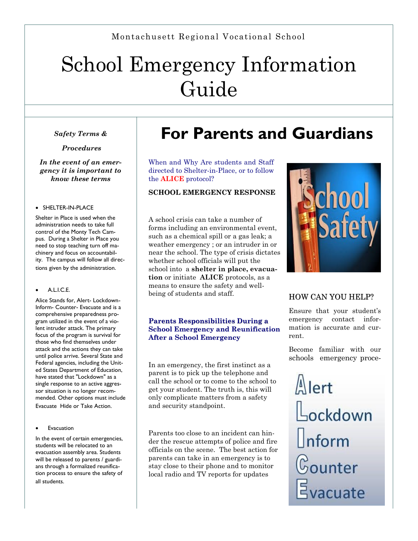# School Emergency Information Guide

*Safety Terms &*

*Procedures*

*In the event of an emergency it is important to know these terms*

#### • SHELTER-IN-PLACE

Shelter in Place is used when the administration needs to take full control of the Monty Tech Campus. During a Shelter in Place you need to stop teaching turn off machinery and focus on accountability. The campus will follow all directions given by the administration.

#### A.L.I.C.E.

Alice Stands for, Alert- Lockdown-Inform- Counter- Evacuate and is a comprehensive preparedness program utilized in the event of a violent intruder attack. The primary focus of the program is survival for those who find themselves under attack and the actions they can take until police arrive. Several State and Federal agencies, including the United States Department of Education, have stated that "Lockdown" as a single response to an active aggressor situation is no longer recommended. Other options must include

Evacuate Hide or Take Action.

#### Evacuation

In the event of certain emergencies, students will be relocated to an evacuation assembly area. Students will be released to parents / guardians through a formalized reunification process to ensure the safety of all students.

## **For Parents and Guardians**

When and Why Are students and Staff directed to Shelter-in-Place, or to follow the **ALICE** protocol?

#### **SCHOOL EMERGENCY RESPONSE**

A school crisis can take a number of forms including an environmental event, such as a chemical spill or a gas leak; a weather emergency ; or an intruder in or near the school. The type of crisis dictates whether school officials will put the school into a **shelter in place, evacuation** or initiate **ALICE** protocols, as a means to ensure the safety and wellbeing of students and staff.

#### **Parents Responsibilities During a School Emergency and Reunification After a School Emergency**

In an emergency, the first instinct as a parent is to pick up the telephone and call the school or to come to the school to get your student. The truth is, this will only complicate matters from a safety and security standpoint.

Parents too close to an incident can hinder the rescue attempts of police and fire officials on the scene. The best action for parents can take in an emergency is to stay close to their phone and to monitor local radio and TV reports for updates



#### HOW CAN YOU HELP?

Ensure that your student's emergency contact information is accurate and current.

Become familiar with our schools emergency proce-

 $\sqrt{\Delta}$ lert Lockdown  $\lfloor$ nform  $\mathbb{G}% _{\alpha}$ ounter Evacuate